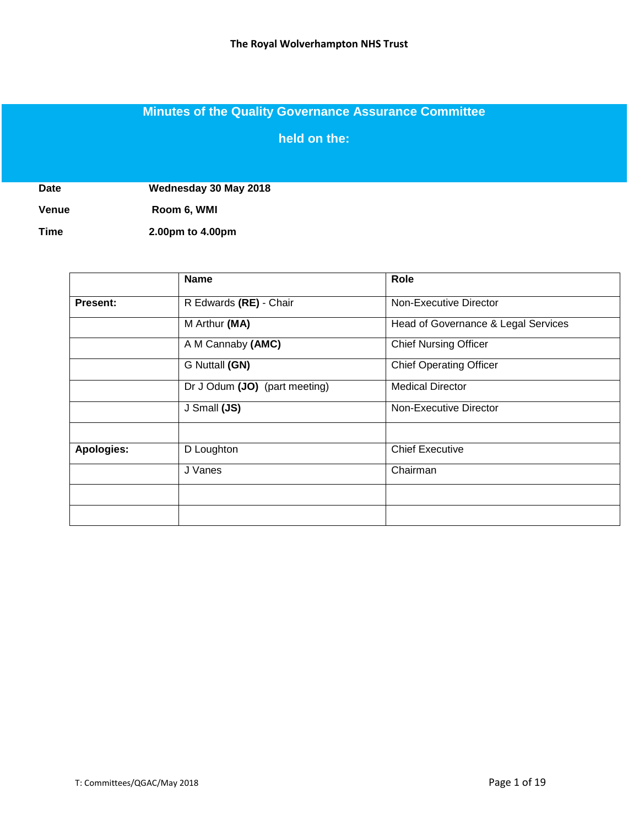# **Minutes of the Quality Governance Assurance Committee**

**held on the:**

**Date Wednesday 30 May 2018**

**Venue Room 6, WMI**

**Time 2.00pm to 4.00pm**

|            | <b>Name</b>                   | Role                                |
|------------|-------------------------------|-------------------------------------|
| Present:   | R Edwards (RE) - Chair        | Non-Executive Director              |
|            | M Arthur (MA)                 | Head of Governance & Legal Services |
|            | A M Cannaby (AMC)             | <b>Chief Nursing Officer</b>        |
|            | G Nuttall (GN)                | <b>Chief Operating Officer</b>      |
|            | Dr J Odum (JO) (part meeting) | <b>Medical Director</b>             |
|            | J Small (JS)                  | Non-Executive Director              |
|            |                               |                                     |
| Apologies: | D Loughton                    | <b>Chief Executive</b>              |
|            | J Vanes                       | Chairman                            |
|            |                               |                                     |
|            |                               |                                     |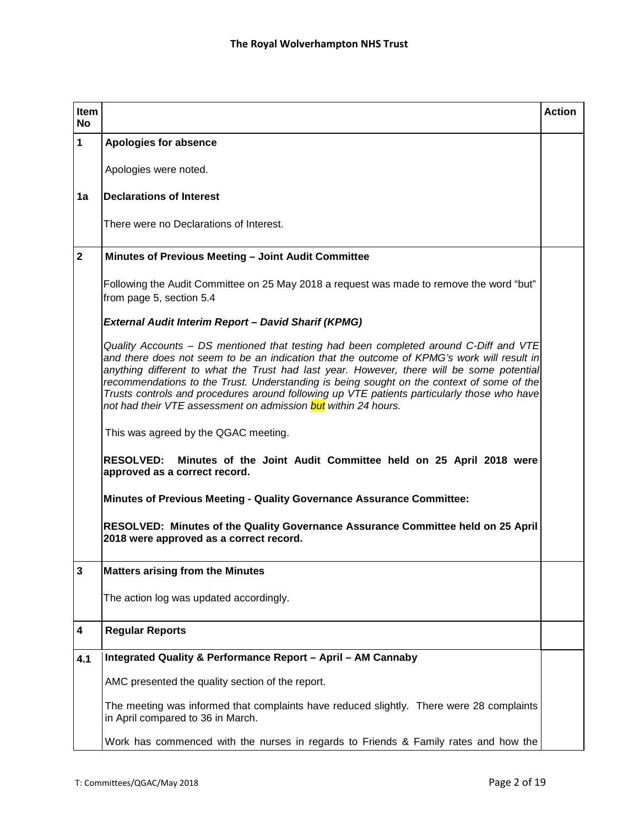| <b>Item</b><br><b>No</b> |                                                                                                                                                                                                                                                                                                                                                                                                                                                                                                                                                        | <b>Action</b> |
|--------------------------|--------------------------------------------------------------------------------------------------------------------------------------------------------------------------------------------------------------------------------------------------------------------------------------------------------------------------------------------------------------------------------------------------------------------------------------------------------------------------------------------------------------------------------------------------------|---------------|
| $\mathbf{1}$             | <b>Apologies for absence</b>                                                                                                                                                                                                                                                                                                                                                                                                                                                                                                                           |               |
|                          | Apologies were noted.                                                                                                                                                                                                                                                                                                                                                                                                                                                                                                                                  |               |
| 1a                       | <b>Declarations of Interest</b>                                                                                                                                                                                                                                                                                                                                                                                                                                                                                                                        |               |
|                          | There were no Declarations of Interest.                                                                                                                                                                                                                                                                                                                                                                                                                                                                                                                |               |
| $\mathbf{2}$             | Minutes of Previous Meeting - Joint Audit Committee                                                                                                                                                                                                                                                                                                                                                                                                                                                                                                    |               |
|                          | Following the Audit Committee on 25 May 2018 a request was made to remove the word "but"<br>from page 5, section 5.4                                                                                                                                                                                                                                                                                                                                                                                                                                   |               |
|                          | <b>External Audit Interim Report - David Sharif (KPMG)</b>                                                                                                                                                                                                                                                                                                                                                                                                                                                                                             |               |
|                          | Quality Accounts - DS mentioned that testing had been completed around C-Diff and VTE<br>and there does not seem to be an indication that the outcome of KPMG's work will result in<br>anything different to what the Trust had last year. However, there will be some potential<br>recommendations to the Trust. Understanding is being sought on the context of some of the<br>Trusts controls and procedures around following up VTE patients particularly those who have<br>not had their VTE assessment on admission <i>but within 24 hours</i> . |               |
|                          | This was agreed by the QGAC meeting.                                                                                                                                                                                                                                                                                                                                                                                                                                                                                                                   |               |
|                          | <b>RESOLVED:</b><br>Minutes of the Joint Audit Committee held on 25 April 2018 were<br>approved as a correct record.                                                                                                                                                                                                                                                                                                                                                                                                                                   |               |
|                          | Minutes of Previous Meeting - Quality Governance Assurance Committee:                                                                                                                                                                                                                                                                                                                                                                                                                                                                                  |               |
|                          | RESOLVED: Minutes of the Quality Governance Assurance Committee held on 25 April<br>2018 were approved as a correct record.                                                                                                                                                                                                                                                                                                                                                                                                                            |               |
| 3                        | <b>Matters arising from the Minutes</b>                                                                                                                                                                                                                                                                                                                                                                                                                                                                                                                |               |
|                          | The action log was updated accordingly.                                                                                                                                                                                                                                                                                                                                                                                                                                                                                                                |               |
| 4                        | <b>Regular Reports</b>                                                                                                                                                                                                                                                                                                                                                                                                                                                                                                                                 |               |
| 4.1                      | Integrated Quality & Performance Report - April - AM Cannaby                                                                                                                                                                                                                                                                                                                                                                                                                                                                                           |               |
|                          | AMC presented the quality section of the report.                                                                                                                                                                                                                                                                                                                                                                                                                                                                                                       |               |
|                          | The meeting was informed that complaints have reduced slightly. There were 28 complaints<br>in April compared to 36 in March.                                                                                                                                                                                                                                                                                                                                                                                                                          |               |
|                          | Work has commenced with the nurses in regards to Friends & Family rates and how the                                                                                                                                                                                                                                                                                                                                                                                                                                                                    |               |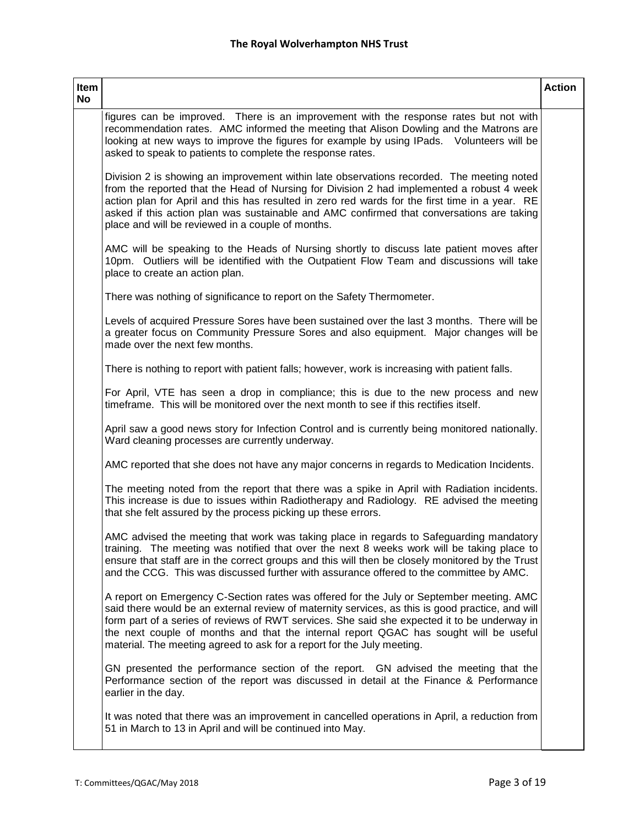| Item<br>No |                                                                                                                                                                                                                                                                                                                                                                                                                                                                 | <b>Action</b> |
|------------|-----------------------------------------------------------------------------------------------------------------------------------------------------------------------------------------------------------------------------------------------------------------------------------------------------------------------------------------------------------------------------------------------------------------------------------------------------------------|---------------|
|            | figures can be improved. There is an improvement with the response rates but not with<br>recommendation rates. AMC informed the meeting that Alison Dowling and the Matrons are<br>looking at new ways to improve the figures for example by using IPads. Volunteers will be<br>asked to speak to patients to complete the response rates.                                                                                                                      |               |
|            | Division 2 is showing an improvement within late observations recorded. The meeting noted<br>from the reported that the Head of Nursing for Division 2 had implemented a robust 4 week<br>action plan for April and this has resulted in zero red wards for the first time in a year. RE<br>asked if this action plan was sustainable and AMC confirmed that conversations are taking<br>place and will be reviewed in a couple of months.                      |               |
|            | AMC will be speaking to the Heads of Nursing shortly to discuss late patient moves after<br>10pm. Outliers will be identified with the Outpatient Flow Team and discussions will take<br>place to create an action plan.                                                                                                                                                                                                                                        |               |
|            | There was nothing of significance to report on the Safety Thermometer.                                                                                                                                                                                                                                                                                                                                                                                          |               |
|            | Levels of acquired Pressure Sores have been sustained over the last 3 months. There will be<br>a greater focus on Community Pressure Sores and also equipment. Major changes will be<br>made over the next few months.                                                                                                                                                                                                                                          |               |
|            | There is nothing to report with patient falls; however, work is increasing with patient falls.                                                                                                                                                                                                                                                                                                                                                                  |               |
|            | For April, VTE has seen a drop in compliance; this is due to the new process and new<br>timeframe. This will be monitored over the next month to see if this rectifies itself.                                                                                                                                                                                                                                                                                  |               |
|            | April saw a good news story for Infection Control and is currently being monitored nationally.<br>Ward cleaning processes are currently underway.                                                                                                                                                                                                                                                                                                               |               |
|            | AMC reported that she does not have any major concerns in regards to Medication Incidents.                                                                                                                                                                                                                                                                                                                                                                      |               |
|            | The meeting noted from the report that there was a spike in April with Radiation incidents.<br>This increase is due to issues within Radiotherapy and Radiology. RE advised the meeting<br>that she felt assured by the process picking up these errors.                                                                                                                                                                                                        |               |
|            | AMC advised the meeting that work was taking place in regards to Safeguarding mandatory<br>training. The meeting was notified that over the next 8 weeks work will be taking place to<br>ensure that staff are in the correct groups and this will then be closely monitored by the Trust<br>and the CCG. This was discussed further with assurance offered to the committee by AMC.                                                                            |               |
|            | A report on Emergency C-Section rates was offered for the July or September meeting. AMC<br>said there would be an external review of maternity services, as this is good practice, and will<br>form part of a series of reviews of RWT services. She said she expected it to be underway in<br>the next couple of months and that the internal report QGAC has sought will be useful<br>material. The meeting agreed to ask for a report for the July meeting. |               |
|            | GN presented the performance section of the report. GN advised the meeting that the<br>Performance section of the report was discussed in detail at the Finance & Performance<br>earlier in the day.                                                                                                                                                                                                                                                            |               |
|            | It was noted that there was an improvement in cancelled operations in April, a reduction from<br>51 in March to 13 in April and will be continued into May.                                                                                                                                                                                                                                                                                                     |               |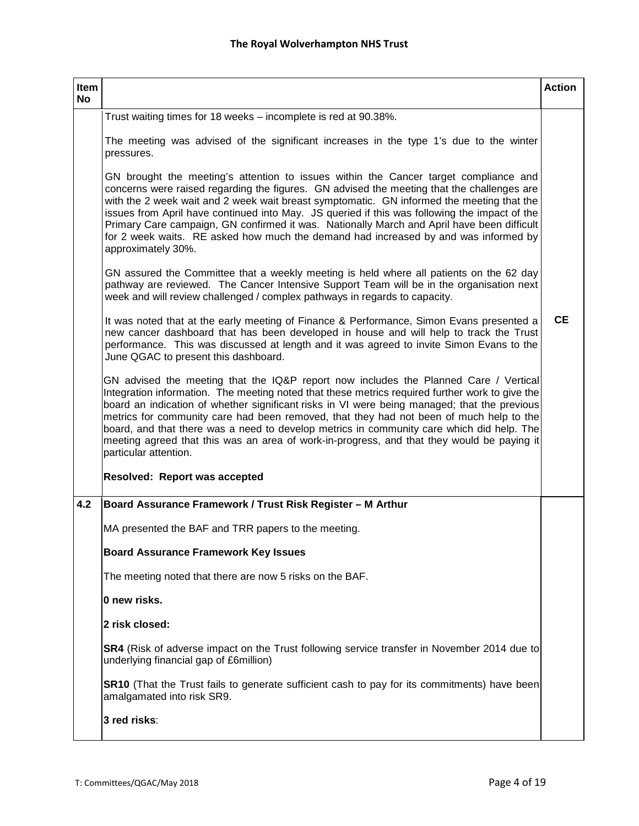| Item<br><b>No</b> |                                                                                                                                                                                                                                                                                                                                                                                                                                                                                                                                                                                                        | <b>Action</b> |
|-------------------|--------------------------------------------------------------------------------------------------------------------------------------------------------------------------------------------------------------------------------------------------------------------------------------------------------------------------------------------------------------------------------------------------------------------------------------------------------------------------------------------------------------------------------------------------------------------------------------------------------|---------------|
|                   | Trust waiting times for 18 weeks - incomplete is red at 90.38%.                                                                                                                                                                                                                                                                                                                                                                                                                                                                                                                                        |               |
|                   | The meeting was advised of the significant increases in the type 1's due to the winter<br>pressures.                                                                                                                                                                                                                                                                                                                                                                                                                                                                                                   |               |
|                   | GN brought the meeting's attention to issues within the Cancer target compliance and<br>concerns were raised regarding the figures. GN advised the meeting that the challenges are<br>with the 2 week wait and 2 week wait breast symptomatic. GN informed the meeting that the<br>issues from April have continued into May. JS queried if this was following the impact of the<br>Primary Care campaign, GN confirmed it was. Nationally March and April have been difficult<br>for 2 week waits. RE asked how much the demand had increased by and was informed by<br>approximately 30%.            |               |
|                   | GN assured the Committee that a weekly meeting is held where all patients on the 62 day<br>pathway are reviewed. The Cancer Intensive Support Team will be in the organisation next<br>week and will review challenged / complex pathways in regards to capacity.                                                                                                                                                                                                                                                                                                                                      |               |
|                   | It was noted that at the early meeting of Finance & Performance, Simon Evans presented a<br>new cancer dashboard that has been developed in house and will help to track the Trust<br>performance. This was discussed at length and it was agreed to invite Simon Evans to the<br>June QGAC to present this dashboard.                                                                                                                                                                                                                                                                                 | <b>CE</b>     |
|                   | GN advised the meeting that the IQ&P report now includes the Planned Care / Vertical<br>Integration information. The meeting noted that these metrics required further work to give the<br>board an indication of whether significant risks in VI were being managed; that the previous<br>metrics for community care had been removed, that they had not been of much help to the<br>board, and that there was a need to develop metrics in community care which did help. The<br>meeting agreed that this was an area of work-in-progress, and that they would be paying it<br>particular attention. |               |
|                   | Resolved: Report was accepted                                                                                                                                                                                                                                                                                                                                                                                                                                                                                                                                                                          |               |
| 4.2               | Board Assurance Framework / Trust Risk Register - M Arthur                                                                                                                                                                                                                                                                                                                                                                                                                                                                                                                                             |               |
|                   | MA presented the BAF and TRR papers to the meeting.                                                                                                                                                                                                                                                                                                                                                                                                                                                                                                                                                    |               |
|                   | <b>Board Assurance Framework Key Issues</b>                                                                                                                                                                                                                                                                                                                                                                                                                                                                                                                                                            |               |
|                   | The meeting noted that there are now 5 risks on the BAF.                                                                                                                                                                                                                                                                                                                                                                                                                                                                                                                                               |               |
|                   | 0 new risks.                                                                                                                                                                                                                                                                                                                                                                                                                                                                                                                                                                                           |               |
|                   | 2 risk closed:                                                                                                                                                                                                                                                                                                                                                                                                                                                                                                                                                                                         |               |
|                   | SR4 (Risk of adverse impact on the Trust following service transfer in November 2014 due to<br>underlying financial gap of £6million)                                                                                                                                                                                                                                                                                                                                                                                                                                                                  |               |
|                   | <b>SR10</b> (That the Trust fails to generate sufficient cash to pay for its commitments) have been<br>amalgamated into risk SR9.                                                                                                                                                                                                                                                                                                                                                                                                                                                                      |               |
|                   | 3 red risks:                                                                                                                                                                                                                                                                                                                                                                                                                                                                                                                                                                                           |               |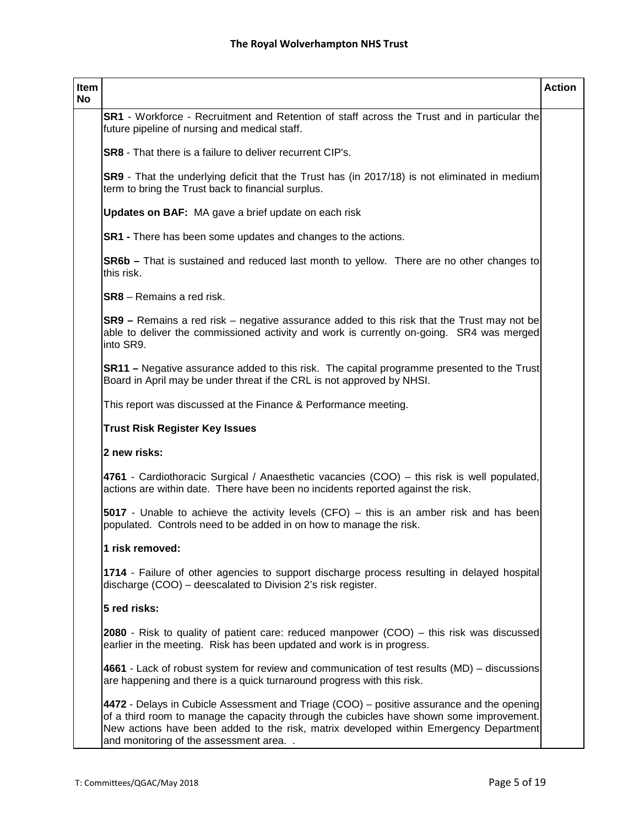| Item<br>No |                                                                                                                                                                                                                                                                                                                         | <b>Action</b> |
|------------|-------------------------------------------------------------------------------------------------------------------------------------------------------------------------------------------------------------------------------------------------------------------------------------------------------------------------|---------------|
|            | SR1 - Workforce - Recruitment and Retention of staff across the Trust and in particular the<br>future pipeline of nursing and medical staff.                                                                                                                                                                            |               |
|            | <b>SR8</b> - That there is a failure to deliver recurrent CIP's.                                                                                                                                                                                                                                                        |               |
|            | SR9 - That the underlying deficit that the Trust has (in 2017/18) is not eliminated in medium<br>term to bring the Trust back to financial surplus.                                                                                                                                                                     |               |
|            | <b>Updates on BAF:</b> MA gave a brief update on each risk                                                                                                                                                                                                                                                              |               |
|            | <b>SR1</b> - There has been some updates and changes to the actions.                                                                                                                                                                                                                                                    |               |
|            | <b>SR6b</b> – That is sustained and reduced last month to yellow. There are no other changes to<br>this risk.                                                                                                                                                                                                           |               |
|            | <b>SR8</b> – Remains a red risk.                                                                                                                                                                                                                                                                                        |               |
|            | $SR9$ – Remains a red risk – negative assurance added to this risk that the Trust may not be<br>able to deliver the commissioned activity and work is currently on-going. SR4 was merged<br>into SR9.                                                                                                                   |               |
|            | <b>SR11</b> – Negative assurance added to this risk. The capital programme presented to the Trust<br>Board in April may be under threat if the CRL is not approved by NHSI.                                                                                                                                             |               |
|            | This report was discussed at the Finance & Performance meeting.                                                                                                                                                                                                                                                         |               |
|            | <b>Trust Risk Register Key Issues</b>                                                                                                                                                                                                                                                                                   |               |
|            | 2 new risks:                                                                                                                                                                                                                                                                                                            |               |
|            | 4761 - Cardiothoracic Surgical / Anaesthetic vacancies (COO) - this risk is well populated,<br>actions are within date. There have been no incidents reported against the risk.                                                                                                                                         |               |
|            | 5017 - Unable to achieve the activity levels (CFO) – this is an amber risk and has been<br>populated. Controls need to be added in on how to manage the risk.                                                                                                                                                           |               |
|            | 1 risk removed:                                                                                                                                                                                                                                                                                                         |               |
|            | 1714 - Failure of other agencies to support discharge process resulting in delayed hospital<br>discharge (COO) – deescalated to Division 2's risk register.                                                                                                                                                             |               |
|            | 5 red risks:                                                                                                                                                                                                                                                                                                            |               |
|            | <b>2080</b> - Risk to quality of patient care: reduced manpower $(COO)$ – this risk was discussed<br>earlier in the meeting. Risk has been updated and work is in progress.                                                                                                                                             |               |
|            | 4661 - Lack of robust system for review and communication of test results (MD) – discussions<br>are happening and there is a quick turnaround progress with this risk.                                                                                                                                                  |               |
|            | 4472 - Delays in Cubicle Assessment and Triage (COO) - positive assurance and the opening<br>of a third room to manage the capacity through the cubicles have shown some improvement.<br>New actions have been added to the risk, matrix developed within Emergency Department<br>and monitoring of the assessment area |               |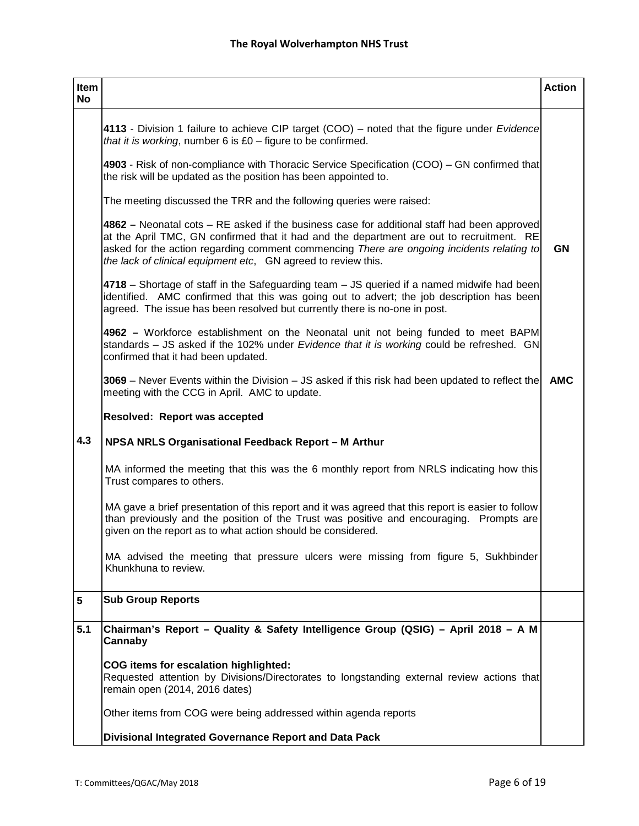| Item<br>No |                                                                                                                                                                                                                                                                                                                                                         | <b>Action</b> |
|------------|---------------------------------------------------------------------------------------------------------------------------------------------------------------------------------------------------------------------------------------------------------------------------------------------------------------------------------------------------------|---------------|
|            | 4113 - Division 1 failure to achieve CIP target (COO) – noted that the figure under <i>Evidence</i><br>that it is working, number 6 is $£0 -$ figure to be confirmed.                                                                                                                                                                                   |               |
|            | 4903 - Risk of non-compliance with Thoracic Service Specification (COO) – GN confirmed that<br>the risk will be updated as the position has been appointed to.                                                                                                                                                                                          |               |
|            | The meeting discussed the TRR and the following queries were raised:                                                                                                                                                                                                                                                                                    |               |
|            | $4862$ – Neonatal cots – RE asked if the business case for additional staff had been approved<br>at the April TMC, GN confirmed that it had and the department are out to recruitment. RE<br>asked for the action regarding comment commencing There are ongoing incidents relating to<br>the lack of clinical equipment etc, GN agreed to review this. | <b>GN</b>     |
|            | 4718 – Shortage of staff in the Safeguarding team – JS queried if a named midwife had been<br>identified. AMC confirmed that this was going out to advert; the job description has been<br>agreed. The issue has been resolved but currently there is no-one in post.                                                                                   |               |
|            | 4962 – Workforce establishment on the Neonatal unit not being funded to meet BAPM<br>standards - JS asked if the 102% under Evidence that it is working could be refreshed. GN<br>confirmed that it had been updated.                                                                                                                                   |               |
|            | 3069 – Never Events within the Division – JS asked if this risk had been updated to reflect the<br>meeting with the CCG in April. AMC to update.                                                                                                                                                                                                        | <b>AMC</b>    |
|            | <b>Resolved: Report was accepted</b>                                                                                                                                                                                                                                                                                                                    |               |
| 4.3        | NPSA NRLS Organisational Feedback Report - M Arthur                                                                                                                                                                                                                                                                                                     |               |
|            | MA informed the meeting that this was the 6 monthly report from NRLS indicating how this<br>Trust compares to others.                                                                                                                                                                                                                                   |               |
|            | MA gave a brief presentation of this report and it was agreed that this report is easier to follow<br>than previously and the position of the Trust was positive and encouraging. Prompts are<br>given on the report as to what action should be considered.                                                                                            |               |
|            | MA advised the meeting that pressure ulcers were missing from figure 5, Sukhbinder<br>Khunkhuna to review.                                                                                                                                                                                                                                              |               |
| 5          | <b>Sub Group Reports</b>                                                                                                                                                                                                                                                                                                                                |               |
| 5.1        | Chairman's Report - Quality & Safety Intelligence Group (QSIG) - April 2018 - A M<br>Cannaby                                                                                                                                                                                                                                                            |               |
|            | COG items for escalation highlighted:<br>Requested attention by Divisions/Directorates to longstanding external review actions that<br>remain open (2014, 2016 dates)                                                                                                                                                                                   |               |
|            | Other items from COG were being addressed within agenda reports                                                                                                                                                                                                                                                                                         |               |
|            | Divisional Integrated Governance Report and Data Pack                                                                                                                                                                                                                                                                                                   |               |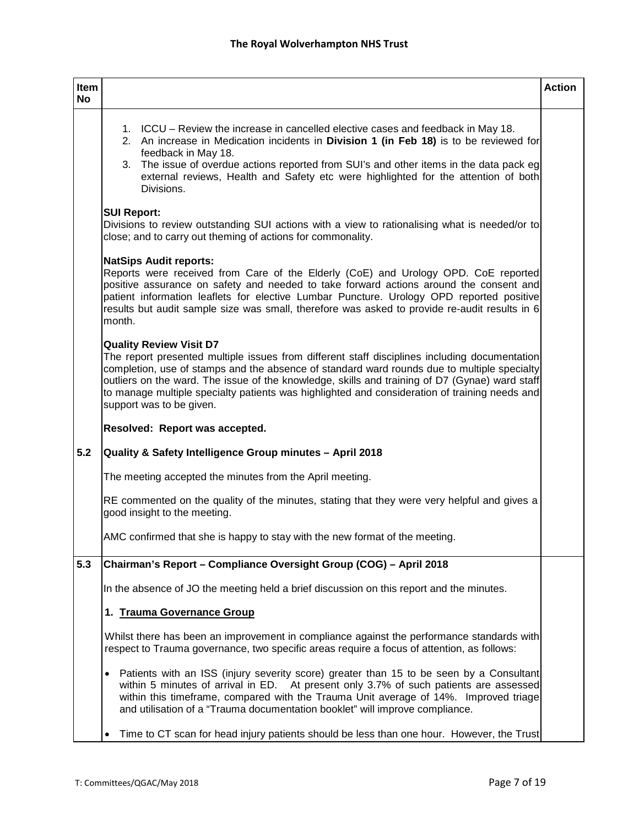| Item<br><b>No</b> |                                                                                                                                                                                                                                                                                                                                                                                                                                                               | <b>Action</b> |
|-------------------|---------------------------------------------------------------------------------------------------------------------------------------------------------------------------------------------------------------------------------------------------------------------------------------------------------------------------------------------------------------------------------------------------------------------------------------------------------------|---------------|
|                   | 1. ICCU – Review the increase in cancelled elective cases and feedback in May 18.<br>2. An increase in Medication incidents in Division 1 (in Feb 18) is to be reviewed for<br>feedback in May 18.<br>3. The issue of overdue actions reported from SUI's and other items in the data pack eg<br>external reviews, Health and Safety etc were highlighted for the attention of both<br>Divisions.                                                             |               |
|                   | <b>SUI Report:</b><br>Divisions to review outstanding SUI actions with a view to rationalising what is needed/or to<br>close; and to carry out theming of actions for commonality.                                                                                                                                                                                                                                                                            |               |
|                   | <b>NatSips Audit reports:</b><br>Reports were received from Care of the Elderly (CoE) and Urology OPD. CoE reported<br>positive assurance on safety and needed to take forward actions around the consent and<br>patient information leaflets for elective Lumbar Puncture. Urology OPD reported positive<br>results but audit sample size was small, therefore was asked to provide re-audit results in 6<br>month.                                          |               |
|                   | <b>Quality Review Visit D7</b><br>The report presented multiple issues from different staff disciplines including documentation<br>completion, use of stamps and the absence of standard ward rounds due to multiple specialty<br>outliers on the ward. The issue of the knowledge, skills and training of D7 (Gynae) ward staff<br>to manage multiple specialty patients was highlighted and consideration of training needs and<br>support was to be given. |               |
|                   | Resolved: Report was accepted.                                                                                                                                                                                                                                                                                                                                                                                                                                |               |
| 5.2               | Quality & Safety Intelligence Group minutes - April 2018                                                                                                                                                                                                                                                                                                                                                                                                      |               |
|                   | The meeting accepted the minutes from the April meeting.                                                                                                                                                                                                                                                                                                                                                                                                      |               |
|                   | RE commented on the quality of the minutes, stating that they were very helpful and gives a<br>good insight to the meeting.                                                                                                                                                                                                                                                                                                                                   |               |
|                   | AMC confirmed that she is happy to stay with the new format of the meeting.                                                                                                                                                                                                                                                                                                                                                                                   |               |
| 5.3               | Chairman's Report - Compliance Oversight Group (COG) - April 2018                                                                                                                                                                                                                                                                                                                                                                                             |               |
|                   | In the absence of JO the meeting held a brief discussion on this report and the minutes.                                                                                                                                                                                                                                                                                                                                                                      |               |
|                   | 1. Trauma Governance Group                                                                                                                                                                                                                                                                                                                                                                                                                                    |               |
|                   | Whilst there has been an improvement in compliance against the performance standards with<br>respect to Trauma governance, two specific areas require a focus of attention, as follows:                                                                                                                                                                                                                                                                       |               |
|                   | Patients with an ISS (injury severity score) greater than 15 to be seen by a Consultant<br>$\bullet$<br>within 5 minutes of arrival in ED. At present only 3.7% of such patients are assessed<br>within this timeframe, compared with the Trauma Unit average of 14%. Improved triage<br>and utilisation of a "Trauma documentation booklet" will improve compliance.                                                                                         |               |
|                   | Time to CT scan for head injury patients should be less than one hour. However, the Trust<br>$\bullet$                                                                                                                                                                                                                                                                                                                                                        |               |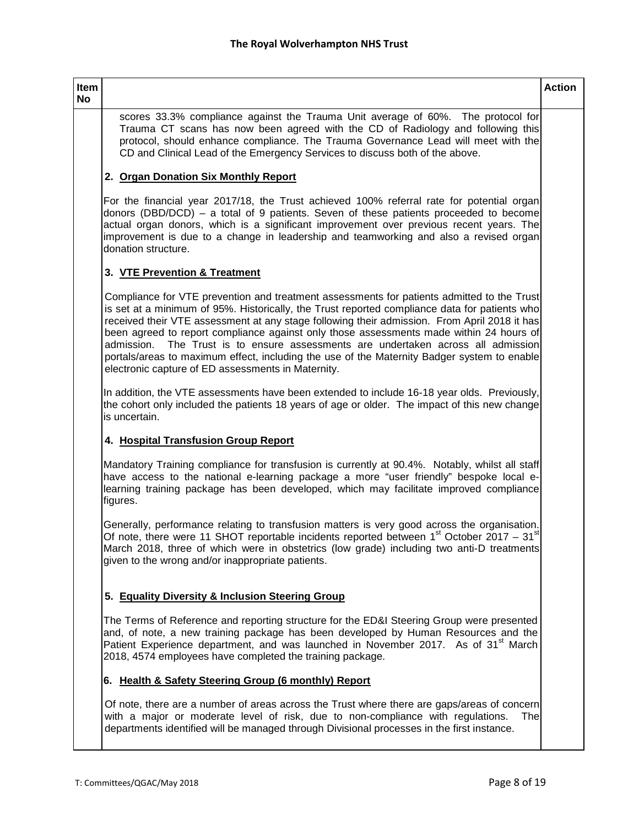# **Item**

**No**

scores 33.3% compliance against the Trauma Unit average of 60%. The protocol for Trauma CT scans has now been agreed with the CD of Radiology and following this protocol, should enhance compliance. The Trauma Governance Lead will meet with the CD and Clinical Lead of the Emergency Services to discuss both of the above.

# **2. Organ Donation Six Monthly Report**

For the financial year 2017/18, the Trust achieved 100% referral rate for potential organ donors (DBD/DCD) – a total of 9 patients. Seven of these patients proceeded to become actual organ donors, which is a significant improvement over previous recent years. The improvement is due to a change in leadership and teamworking and also a revised organ donation structure.

# **3. VTE Prevention & Treatment**

Compliance for VTE prevention and treatment assessments for patients admitted to the Trust is set at a minimum of 95%. Historically, the Trust reported compliance data for patients who received their VTE assessment at any stage following their admission. From April 2018 it has been agreed to report compliance against only those assessments made within 24 hours of admission. The Trust is to ensure assessments are undertaken across all admission portals/areas to maximum effect, including the use of the Maternity Badger system to enable electronic capture of ED assessments in Maternity.

In addition, the VTE assessments have been extended to include 16-18 year olds. Previously, the cohort only included the patients 18 years of age or older. The impact of this new change is uncertain.

### **4. Hospital Transfusion Group Report**

Mandatory Training compliance for transfusion is currently at 90.4%. Notably, whilst all staff have access to the national e-learning package a more "user friendly" bespoke local elearning training package has been developed, which may facilitate improved compliance figures.

Generally, performance relating to transfusion matters is very good across the organisation. Of note, there were 11 SHOT reportable incidents reported between  $1<sup>st</sup>$  October 2017 – 31 $<sup>st</sup>$ </sup> March 2018, three of which were in obstetrics (low grade) including two anti-D treatments given to the wrong and/or inappropriate patients.

# **5. Equality Diversity & Inclusion Steering Group**

The Terms of Reference and reporting structure for the ED&I Steering Group were presented and, of note, a new training package has been developed by Human Resources and the Patient Experience department, and was launched in November 2017. As of 31<sup>st</sup> March 2018, 4574 employees have completed the training package.

### **6. Health & Safety Steering Group (6 monthly) Report**

Of note, there are a number of areas across the Trust where there are gaps/areas of concern with a major or moderate level of risk, due to non-compliance with regulations. The departments identified will be managed through Divisional processes in the first instance.

**Action**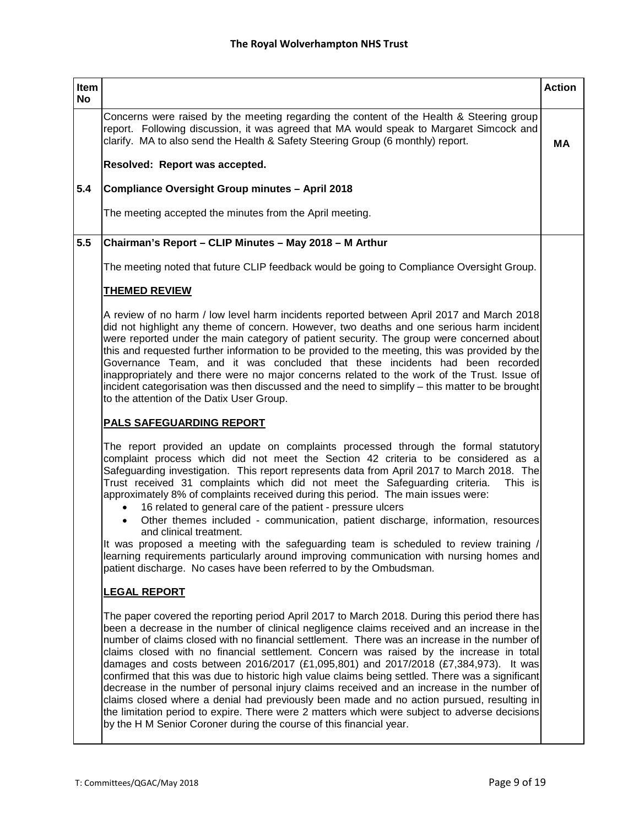| Item      |                                                                                                                                                                                                                                                                                                                                                                                                                                                                                                                                                                                                                                                                                                                                                                                                                                                                                                                                                       | <b>Action</b> |
|-----------|-------------------------------------------------------------------------------------------------------------------------------------------------------------------------------------------------------------------------------------------------------------------------------------------------------------------------------------------------------------------------------------------------------------------------------------------------------------------------------------------------------------------------------------------------------------------------------------------------------------------------------------------------------------------------------------------------------------------------------------------------------------------------------------------------------------------------------------------------------------------------------------------------------------------------------------------------------|---------------|
| <b>No</b> | Concerns were raised by the meeting regarding the content of the Health & Steering group                                                                                                                                                                                                                                                                                                                                                                                                                                                                                                                                                                                                                                                                                                                                                                                                                                                              |               |
|           | report. Following discussion, it was agreed that MA would speak to Margaret Simcock and<br>clarify. MA to also send the Health & Safety Steering Group (6 monthly) report.                                                                                                                                                                                                                                                                                                                                                                                                                                                                                                                                                                                                                                                                                                                                                                            | <b>MA</b>     |
|           | Resolved: Report was accepted.                                                                                                                                                                                                                                                                                                                                                                                                                                                                                                                                                                                                                                                                                                                                                                                                                                                                                                                        |               |
| 5.4       | Compliance Oversight Group minutes - April 2018                                                                                                                                                                                                                                                                                                                                                                                                                                                                                                                                                                                                                                                                                                                                                                                                                                                                                                       |               |
|           | The meeting accepted the minutes from the April meeting.                                                                                                                                                                                                                                                                                                                                                                                                                                                                                                                                                                                                                                                                                                                                                                                                                                                                                              |               |
| 5.5       | Chairman's Report - CLIP Minutes - May 2018 - M Arthur                                                                                                                                                                                                                                                                                                                                                                                                                                                                                                                                                                                                                                                                                                                                                                                                                                                                                                |               |
|           | The meeting noted that future CLIP feedback would be going to Compliance Oversight Group.                                                                                                                                                                                                                                                                                                                                                                                                                                                                                                                                                                                                                                                                                                                                                                                                                                                             |               |
|           | <b>THEMED REVIEW</b>                                                                                                                                                                                                                                                                                                                                                                                                                                                                                                                                                                                                                                                                                                                                                                                                                                                                                                                                  |               |
|           | A review of no harm / low level harm incidents reported between April 2017 and March 2018<br>did not highlight any theme of concern. However, two deaths and one serious harm incident<br>were reported under the main category of patient security. The group were concerned about<br>this and requested further information to be provided to the meeting, this was provided by the<br>Governance Team, and it was concluded that these incidents had been recorded<br>inappropriately and there were no major concerns related to the work of the Trust. Issue of<br>incident categorisation was then discussed and the need to simplify - this matter to be brought<br>to the attention of the Datix User Group.                                                                                                                                                                                                                                  |               |
|           | <b>PALS SAFEGUARDING REPORT</b>                                                                                                                                                                                                                                                                                                                                                                                                                                                                                                                                                                                                                                                                                                                                                                                                                                                                                                                       |               |
|           | The report provided an update on complaints processed through the formal statutory<br>complaint process which did not meet the Section 42 criteria to be considered as a<br>Safeguarding investigation. This report represents data from April 2017 to March 2018. The<br>Trust received 31 complaints which did not meet the Safequarding criteria.<br>This is<br>approximately 8% of complaints received during this period. The main issues were:<br>16 related to general care of the patient - pressure ulcers<br>Other themes included - communication, patient discharge, information, resources<br>$\bullet$<br>and clinical treatment.<br>It was proposed a meeting with the safeguarding team is scheduled to review training /                                                                                                                                                                                                             |               |
|           | learning requirements particularly around improving communication with nursing homes and<br>patient discharge. No cases have been referred to by the Ombudsman.                                                                                                                                                                                                                                                                                                                                                                                                                                                                                                                                                                                                                                                                                                                                                                                       |               |
|           | <u>LEGAL REPORT</u>                                                                                                                                                                                                                                                                                                                                                                                                                                                                                                                                                                                                                                                                                                                                                                                                                                                                                                                                   |               |
|           | The paper covered the reporting period April 2017 to March 2018. During this period there has<br>been a decrease in the number of clinical negligence claims received and an increase in the<br>number of claims closed with no financial settlement. There was an increase in the number of<br>claims closed with no financial settlement. Concern was raised by the increase in total<br>damages and costs between 2016/2017 (£1,095,801) and 2017/2018 (£7,384,973). It was<br>confirmed that this was due to historic high value claims being settled. There was a significant<br>decrease in the number of personal injury claims received and an increase in the number of<br>claims closed where a denial had previously been made and no action pursued, resulting in<br>the limitation period to expire. There were 2 matters which were subject to adverse decisions<br>by the H M Senior Coroner during the course of this financial year. |               |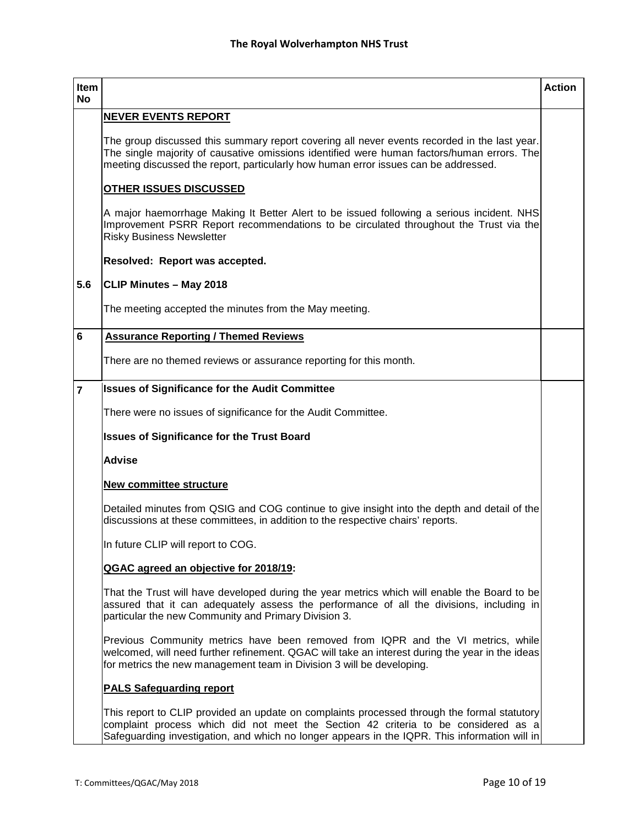| Item<br><b>No</b> |                                                                                                                                                                                                                                                                                    | <b>Action</b> |
|-------------------|------------------------------------------------------------------------------------------------------------------------------------------------------------------------------------------------------------------------------------------------------------------------------------|---------------|
|                   | <b>NEVER EVENTS REPORT</b>                                                                                                                                                                                                                                                         |               |
|                   | The group discussed this summary report covering all never events recorded in the last year.<br>The single majority of causative omissions identified were human factors/human errors. The<br>meeting discussed the report, particularly how human error issues can be addressed.  |               |
|                   | OTHER ISSUES DISCUSSED                                                                                                                                                                                                                                                             |               |
|                   | A major haemorrhage Making It Better Alert to be issued following a serious incident. NHS<br>Improvement PSRR Report recommendations to be circulated throughout the Trust via the<br><b>Risky Business Newsletter</b>                                                             |               |
|                   | Resolved: Report was accepted.                                                                                                                                                                                                                                                     |               |
| 5.6               | <b>CLIP Minutes - May 2018</b>                                                                                                                                                                                                                                                     |               |
|                   | The meeting accepted the minutes from the May meeting.                                                                                                                                                                                                                             |               |
| $6\phantom{1}6$   | <b>Assurance Reporting / Themed Reviews</b>                                                                                                                                                                                                                                        |               |
|                   | There are no themed reviews or assurance reporting for this month.                                                                                                                                                                                                                 |               |
| $\overline{7}$    | <b>Issues of Significance for the Audit Committee</b>                                                                                                                                                                                                                              |               |
|                   | There were no issues of significance for the Audit Committee.                                                                                                                                                                                                                      |               |
|                   | <b>Issues of Significance for the Trust Board</b>                                                                                                                                                                                                                                  |               |
|                   | <b>Advise</b>                                                                                                                                                                                                                                                                      |               |
|                   | <b>New committee structure</b>                                                                                                                                                                                                                                                     |               |
|                   | Detailed minutes from QSIG and COG continue to give insight into the depth and detail of the<br>discussions at these committees, in addition to the respective chairs' reports.                                                                                                    |               |
|                   | In future CLIP will report to COG.                                                                                                                                                                                                                                                 |               |
|                   | QGAC agreed an objective for 2018/19:                                                                                                                                                                                                                                              |               |
|                   | That the Trust will have developed during the year metrics which will enable the Board to be<br>assured that it can adequately assess the performance of all the divisions, including in<br>particular the new Community and Primary Division 3.                                   |               |
|                   | Previous Community metrics have been removed from IQPR and the VI metrics, while<br>welcomed, will need further refinement. QGAC will take an interest during the year in the ideas<br>for metrics the new management team in Division 3 will be developing.                       |               |
|                   | <b>PALS Safeguarding report</b>                                                                                                                                                                                                                                                    |               |
|                   | This report to CLIP provided an update on complaints processed through the formal statutory<br>complaint process which did not meet the Section 42 criteria to be considered as a<br>Safeguarding investigation, and which no longer appears in the IQPR. This information will in |               |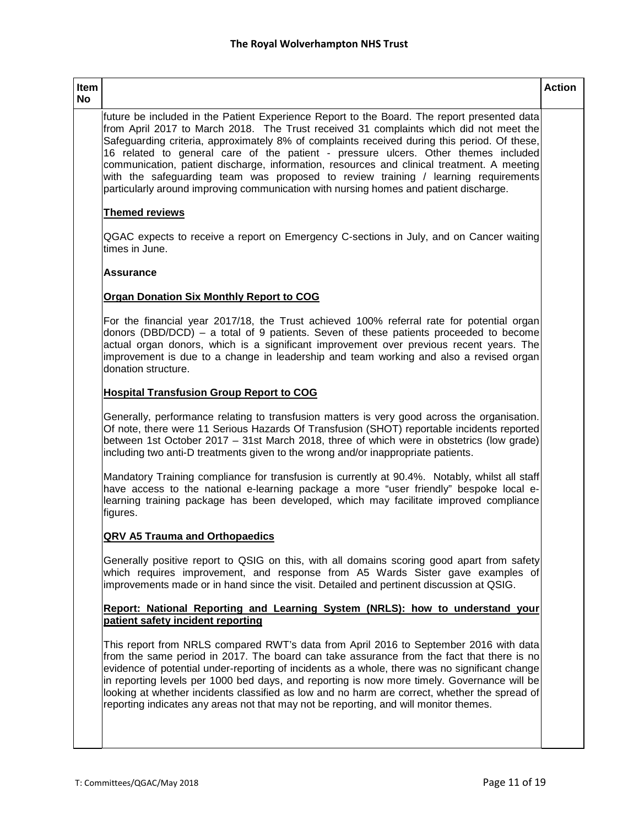# **Item**

**No**

future be included in the Patient Experience Report to the Board. The report presented data from April 2017 to March 2018. The Trust received 31 complaints which did not meet the Safeguarding criteria, approximately 8% of complaints received during this period. Of these, 16 related to general care of the patient - pressure ulcers. Other themes included communication, patient discharge, information, resources and clinical treatment. A meeting with the safeguarding team was proposed to review training / learning requirements particularly around improving communication with nursing homes and patient discharge.

# **Themed reviews**

QGAC expects to receive a report on Emergency C-sections in July, and on Cancer waiting times in June.

### **Assurance**

# **Organ Donation Six Monthly Report to COG**

For the financial year 2017/18, the Trust achieved 100% referral rate for potential organ donors (DBD/DCD) – a total of 9 patients. Seven of these patients proceeded to become actual organ donors, which is a significant improvement over previous recent years. The improvement is due to a change in leadership and team working and also a revised organ donation structure.

# **Hospital Transfusion Group Report to COG**

Generally, performance relating to transfusion matters is very good across the organisation. Of note, there were 11 Serious Hazards Of Transfusion (SHOT) reportable incidents reported between 1st October 2017 – 31st March 2018, three of which were in obstetrics (low grade) including two anti-D treatments given to the wrong and/or inappropriate patients.

Mandatory Training compliance for transfusion is currently at 90.4%. Notably, whilst all staff have access to the national e-learning package a more "user friendly" bespoke local elearning training package has been developed, which may facilitate improved compliance figures.

### **QRV A5 Trauma and Orthopaedics**

Generally positive report to QSIG on this, with all domains scoring good apart from safety which requires improvement, and response from A5 Wards Sister gave examples of improvements made or in hand since the visit. Detailed and pertinent discussion at QSIG.

#### **Report: National Reporting and Learning System (NRLS): how to understand your patient safety incident reporting**

This report from NRLS compared RWT's data from April 2016 to September 2016 with data from the same period in 2017. The board can take assurance from the fact that there is no evidence of potential under-reporting of incidents as a whole, there was no significant change in reporting levels per 1000 bed days, and reporting is now more timely. Governance will be looking at whether incidents classified as low and no harm are correct, whether the spread of reporting indicates any areas not that may not be reporting, and will monitor themes.

**Action**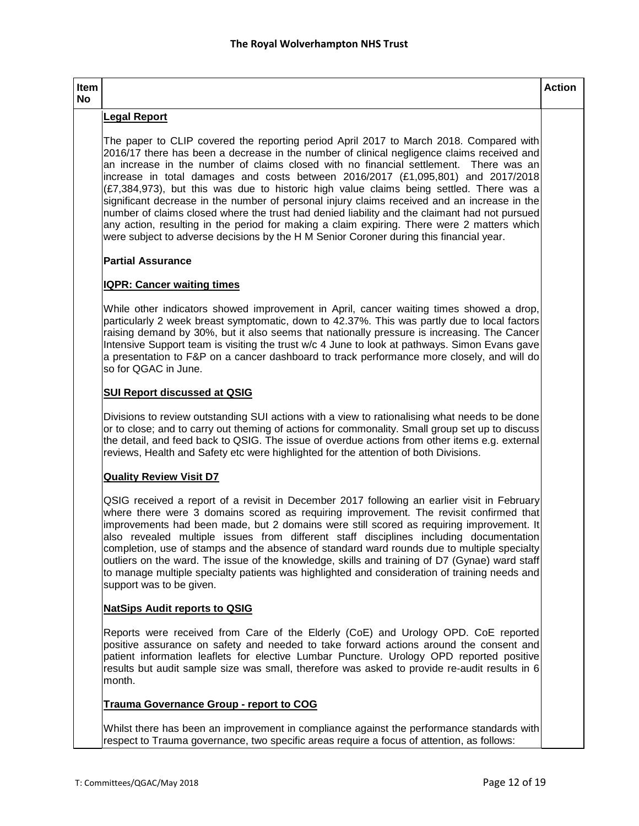#### **Item No**

# **Legal Report**

The paper to CLIP covered the reporting period April 2017 to March 2018. Compared with 2016/17 there has been a decrease in the number of clinical negligence claims received and an increase in the number of claims closed with no financial settlement. There was an increase in total damages and costs between 2016/2017 (£1,095,801) and 2017/2018  $(E7,384,973)$ , but this was due to historic high value claims being settled. There was a significant decrease in the number of personal injury claims received and an increase in the number of claims closed where the trust had denied liability and the claimant had not pursued any action, resulting in the period for making a claim expiring. There were 2 matters which were subject to adverse decisions by the H M Senior Coroner during this financial year.

# **Partial Assurance**

# **IQPR: Cancer waiting times**

While other indicators showed improvement in April, cancer waiting times showed a drop, particularly 2 week breast symptomatic, down to 42.37%. This was partly due to local factors raising demand by 30%, but it also seems that nationally pressure is increasing. The Cancer Intensive Support team is visiting the trust w/c 4 June to look at pathways. Simon Evans gave a presentation to F&P on a cancer dashboard to track performance more closely, and will do so for QGAC in June.

# **SUI Report discussed at QSIG**

Divisions to review outstanding SUI actions with a view to rationalising what needs to be done or to close; and to carry out theming of actions for commonality. Small group set up to discuss the detail, and feed back to QSIG. The issue of overdue actions from other items e.g. external reviews, Health and Safety etc were highlighted for the attention of both Divisions.

# **Quality Review Visit D7**

QSIG received a report of a revisit in December 2017 following an earlier visit in February where there were 3 domains scored as requiring improvement. The revisit confirmed that improvements had been made, but 2 domains were still scored as requiring improvement. It also revealed multiple issues from different staff disciplines including documentation completion, use of stamps and the absence of standard ward rounds due to multiple specialty outliers on the ward. The issue of the knowledge, skills and training of D7 (Gynae) ward staff to manage multiple specialty patients was highlighted and consideration of training needs and support was to be given.

### **NatSips Audit reports to QSIG**

Reports were received from Care of the Elderly (CoE) and Urology OPD. CoE reported positive assurance on safety and needed to take forward actions around the consent and patient information leaflets for elective Lumbar Puncture. Urology OPD reported positive results but audit sample size was small, therefore was asked to provide re-audit results in 6 month.

### **Trauma Governance Group - report to COG**

Whilst there has been an improvement in compliance against the performance standards with respect to Trauma governance, two specific areas require a focus of attention, as follows:

**Action**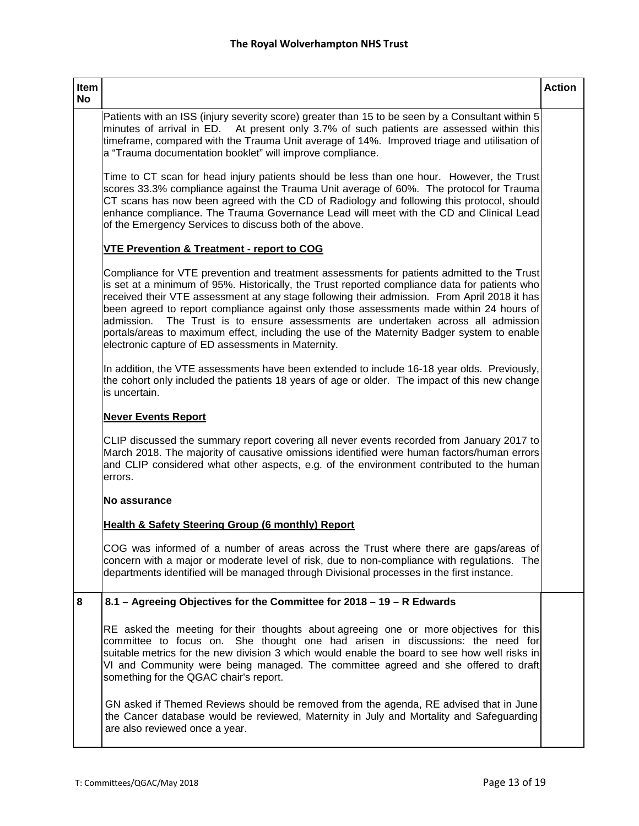|                   |                                                                                                                                                                                                                                                                                                                                                                                                                                                                                                                                                                                                                                     | <b>Action</b> |
|-------------------|-------------------------------------------------------------------------------------------------------------------------------------------------------------------------------------------------------------------------------------------------------------------------------------------------------------------------------------------------------------------------------------------------------------------------------------------------------------------------------------------------------------------------------------------------------------------------------------------------------------------------------------|---------------|
| Item<br><b>No</b> |                                                                                                                                                                                                                                                                                                                                                                                                                                                                                                                                                                                                                                     |               |
|                   | Patients with an ISS (injury severity score) greater than 15 to be seen by a Consultant within 5<br>minutes of arrival in ED. At present only 3.7% of such patients are assessed within this<br>timeframe, compared with the Trauma Unit average of 14%. Improved triage and utilisation of<br>a "Trauma documentation booklet" will improve compliance.                                                                                                                                                                                                                                                                            |               |
|                   | Time to CT scan for head injury patients should be less than one hour. However, the Trust<br>scores 33.3% compliance against the Trauma Unit average of 60%. The protocol for Trauma<br>CT scans has now been agreed with the CD of Radiology and following this protocol, should<br>enhance compliance. The Trauma Governance Lead will meet with the CD and Clinical Lead<br>of the Emergency Services to discuss both of the above.                                                                                                                                                                                              |               |
|                   | <b>VTE Prevention &amp; Treatment - report to COG</b>                                                                                                                                                                                                                                                                                                                                                                                                                                                                                                                                                                               |               |
|                   | Compliance for VTE prevention and treatment assessments for patients admitted to the Trust<br>is set at a minimum of 95%. Historically, the Trust reported compliance data for patients who<br>received their VTE assessment at any stage following their admission. From April 2018 it has<br>been agreed to report compliance against only those assessments made within 24 hours of<br>The Trust is to ensure assessments are undertaken across all admission<br>admission.<br>portals/areas to maximum effect, including the use of the Maternity Badger system to enable<br>electronic capture of ED assessments in Maternity. |               |
|                   | In addition, the VTE assessments have been extended to include 16-18 year olds. Previously,<br>the cohort only included the patients 18 years of age or older. The impact of this new change<br>is uncertain.                                                                                                                                                                                                                                                                                                                                                                                                                       |               |
|                   | <b>Never Events Report</b>                                                                                                                                                                                                                                                                                                                                                                                                                                                                                                                                                                                                          |               |
|                   | CLIP discussed the summary report covering all never events recorded from January 2017 to<br>March 2018. The majority of causative omissions identified were human factors/human errors<br>and CLIP considered what other aspects, e.g. of the environment contributed to the human<br>errors.                                                                                                                                                                                                                                                                                                                                      |               |
|                   | No assurance                                                                                                                                                                                                                                                                                                                                                                                                                                                                                                                                                                                                                        |               |
|                   | Health & Safety Steering Group (6 monthly) Report                                                                                                                                                                                                                                                                                                                                                                                                                                                                                                                                                                                   |               |
|                   | COG was informed of a number of areas across the Trust where there are gaps/areas of<br>concern with a major or moderate level of risk, due to non-compliance with regulations. The<br>departments identified will be managed through Divisional processes in the first instance.                                                                                                                                                                                                                                                                                                                                                   |               |
| 8                 | 8.1 - Agreeing Objectives for the Committee for 2018 - 19 - R Edwards                                                                                                                                                                                                                                                                                                                                                                                                                                                                                                                                                               |               |
|                   | RE asked the meeting for their thoughts about agreeing one or more objectives for this<br>committee to focus on. She thought one had arisen in discussions: the need for<br>suitable metrics for the new division 3 which would enable the board to see how well risks in<br>VI and Community were being managed. The committee agreed and she offered to draft<br>something for the QGAC chair's report.                                                                                                                                                                                                                           |               |
|                   | GN asked if Themed Reviews should be removed from the agenda, RE advised that in June                                                                                                                                                                                                                                                                                                                                                                                                                                                                                                                                               |               |

the Cancer database would be reviewed, Maternity in July and Mortality and Safeguarding are also reviewed once a year.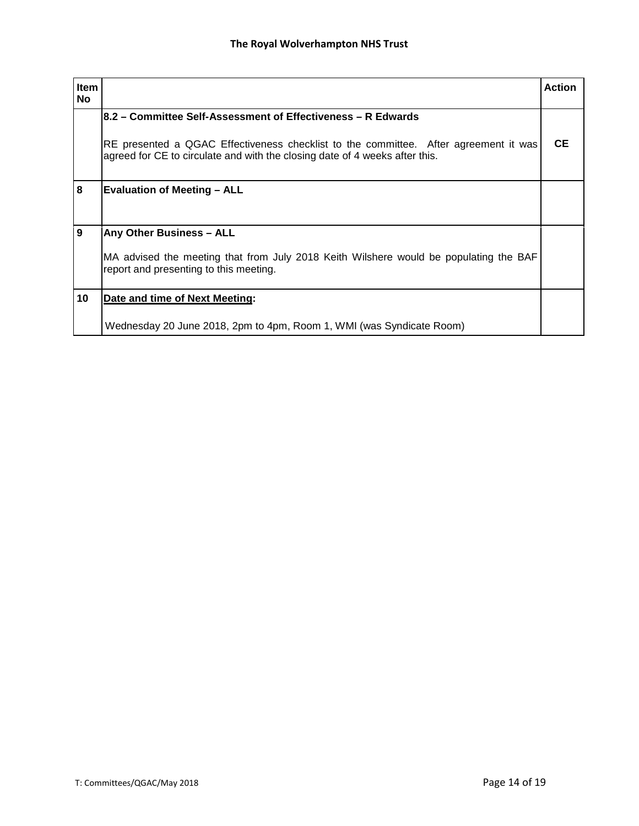| <b>Item</b><br><b>No</b> |                                                                                                                                                                     | <b>Action</b> |
|--------------------------|---------------------------------------------------------------------------------------------------------------------------------------------------------------------|---------------|
|                          | 8.2 – Committee Self-Assessment of Effectiveness – R Edwards                                                                                                        |               |
|                          | RE presented a QGAC Effectiveness checklist to the committee. After agreement it was<br>agreed for CE to circulate and with the closing date of 4 weeks after this. | CE.           |
| 8                        | <b>Evaluation of Meeting - ALL</b>                                                                                                                                  |               |
| 9                        | Any Other Business - ALL                                                                                                                                            |               |
|                          | MA advised the meeting that from July 2018 Keith Wilshere would be populating the BAF<br>report and presenting to this meeting.                                     |               |
| 10                       | Date and time of Next Meeting:                                                                                                                                      |               |
|                          | Wednesday 20 June 2018, 2pm to 4pm, Room 1, WMI (was Syndicate Room)                                                                                                |               |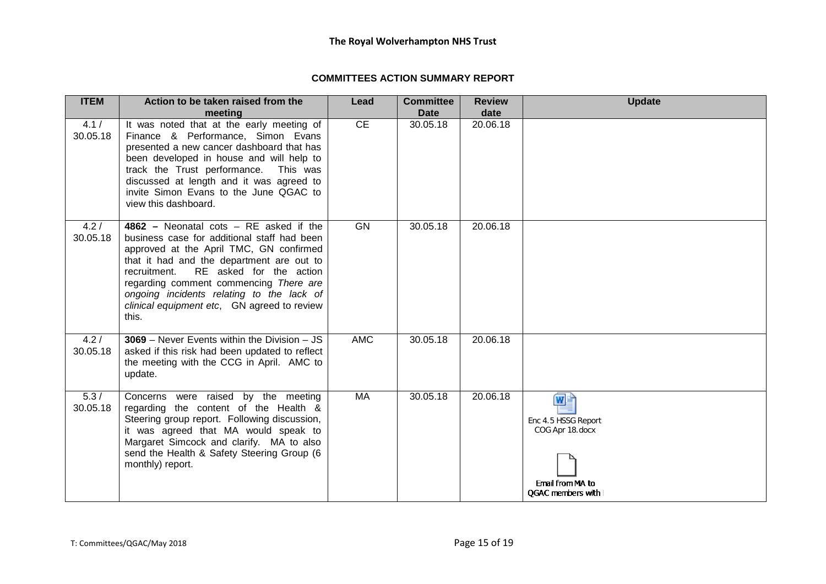# **COMMITTEES ACTION SUMMARY REPORT**

| <b>ITEM</b>       | Action to be taken raised from the                                                                                                                                                                                                                                                                                                                                        | Lead       | <b>Committee</b> | <b>Review</b> | <b>Update</b>                                                                           |
|-------------------|---------------------------------------------------------------------------------------------------------------------------------------------------------------------------------------------------------------------------------------------------------------------------------------------------------------------------------------------------------------------------|------------|------------------|---------------|-----------------------------------------------------------------------------------------|
|                   | meeting                                                                                                                                                                                                                                                                                                                                                                   |            | <b>Date</b>      | date          |                                                                                         |
| 4.1 /<br>30.05.18 | It was noted that at the early meeting of<br>Finance & Performance, Simon Evans<br>presented a new cancer dashboard that has<br>been developed in house and will help to<br>track the Trust performance.<br>This was<br>discussed at length and it was agreed to<br>invite Simon Evans to the June QGAC to<br>view this dashboard.                                        | CE         | 30.05.18         | 20.06.18      |                                                                                         |
| 4.2/<br>30.05.18  | $4862$ – Neonatal cots – RE asked if the<br>business case for additional staff had been<br>approved at the April TMC, GN confirmed<br>that it had and the department are out to<br>RE asked for the action<br>recruitment.<br>regarding comment commencing There are<br>ongoing incidents relating to the lack of<br>clinical equipment etc, GN agreed to review<br>this. | <b>GN</b>  | 30.05.18         | 20.06.18      |                                                                                         |
| 4.2/<br>30.05.18  | $3069$ – Never Events within the Division – JS<br>asked if this risk had been updated to reflect<br>the meeting with the CCG in April. AMC to<br>update.                                                                                                                                                                                                                  | <b>AMC</b> | 30.05.18         | 20.06.18      |                                                                                         |
| 5.3/<br>30.05.18  | Concerns were raised by the meeting<br>regarding the content of the Health &<br>Steering group report. Following discussion,<br>it was agreed that MA would speak to<br>Margaret Simcock and clarify. MA to also<br>send the Health & Safety Steering Group (6<br>monthly) report.                                                                                        | <b>MA</b>  | 30.05.18         | 20.06.18      | WÈ<br>Enc 4.5 HSSG Report<br>COG Apr 18.docx<br>Email from MA to<br>QGAC members with I |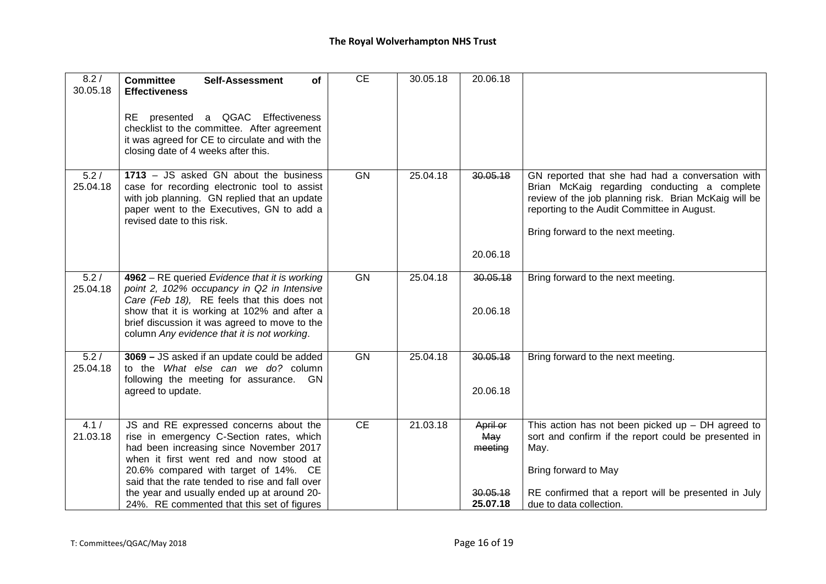| 8.2/<br>30.05.18 | <b>Committee</b><br><b>Self-Assessment</b><br><b>of</b><br><b>Effectiveness</b><br>RE presented a QGAC Effectiveness<br>checklist to the committee. After agreement<br>it was agreed for CE to circulate and with the<br>closing date of 4 weeks after this.                                                                                                      | <b>CE</b> | 30.05.18 | 20.06.18                                           |                                                                                                                                                                                                                                                |
|------------------|-------------------------------------------------------------------------------------------------------------------------------------------------------------------------------------------------------------------------------------------------------------------------------------------------------------------------------------------------------------------|-----------|----------|----------------------------------------------------|------------------------------------------------------------------------------------------------------------------------------------------------------------------------------------------------------------------------------------------------|
| 5.2/<br>25.04.18 | $1713 - JS$ asked GN about the business<br>case for recording electronic tool to assist<br>with job planning. GN replied that an update<br>paper went to the Executives, GN to add a<br>revised date to this risk.                                                                                                                                                | GN        | 25.04.18 | 30.05.18<br>20.06.18                               | GN reported that she had had a conversation with<br>Brian McKaig regarding conducting a complete<br>review of the job planning risk. Brian McKaig will be<br>reporting to the Audit Committee in August.<br>Bring forward to the next meeting. |
| 5.2/<br>25.04.18 | 4962 - RE queried Evidence that it is working<br>point 2, 102% occupancy in Q2 in Intensive<br>Care (Feb 18), RE feels that this does not<br>show that it is working at 102% and after a<br>brief discussion it was agreed to move to the<br>column Any evidence that it is not working.                                                                          | GN        | 25.04.18 | 30.05.18<br>20.06.18                               | Bring forward to the next meeting.                                                                                                                                                                                                             |
| 5.2/<br>25.04.18 | 3069 - JS asked if an update could be added<br>to the What else can we do? column<br>following the meeting for assurance. GN<br>agreed to update.                                                                                                                                                                                                                 | GN        | 25.04.18 | 30.05.18<br>20.06.18                               | Bring forward to the next meeting.                                                                                                                                                                                                             |
| 4.1/<br>21.03.18 | JS and RE expressed concerns about the<br>rise in emergency C-Section rates, which<br>had been increasing since November 2017<br>when it first went red and now stood at<br>20.6% compared with target of 14%. CE<br>said that the rate tended to rise and fall over<br>the year and usually ended up at around 20-<br>24%. RE commented that this set of figures | CE        | 21.03.18 | April or<br>May<br>meeting<br>30.05.18<br>25.07.18 | This action has not been picked up $-$ DH agreed to<br>sort and confirm if the report could be presented in<br>May.<br>Bring forward to May<br>RE confirmed that a report will be presented in July<br>due to data collection.                 |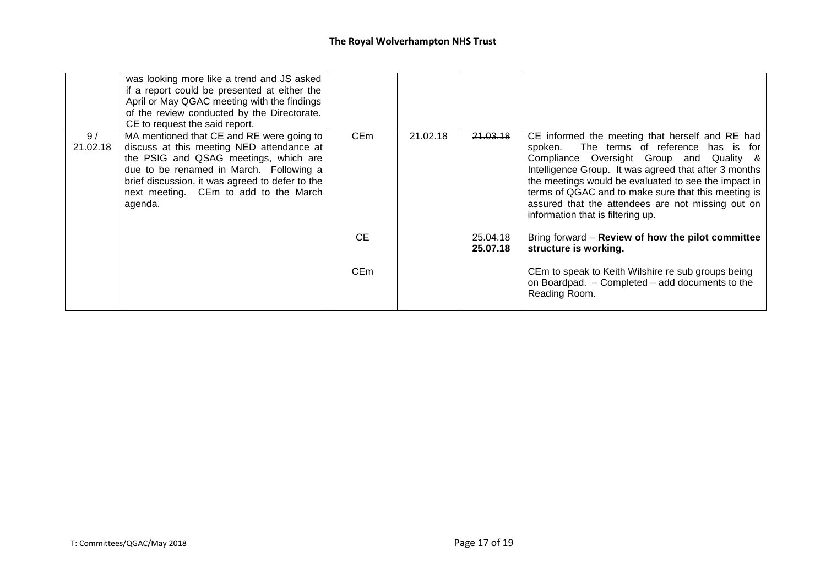|                | was looking more like a trend and JS asked<br>if a report could be presented at either the<br>April or May QGAC meeting with the findings<br>of the review conducted by the Directorate.<br>CE to request the said report.                                                        |                 |          |                      |                                                                                                                                                                                                                                                                                                                                                                                                               |
|----------------|-----------------------------------------------------------------------------------------------------------------------------------------------------------------------------------------------------------------------------------------------------------------------------------|-----------------|----------|----------------------|---------------------------------------------------------------------------------------------------------------------------------------------------------------------------------------------------------------------------------------------------------------------------------------------------------------------------------------------------------------------------------------------------------------|
| 9/<br>21.02.18 | MA mentioned that CE and RE were going to<br>discuss at this meeting NED attendance at<br>the PSIG and QSAG meetings, which are<br>due to be renamed in March. Following a<br>brief discussion, it was agreed to defer to the<br>next meeting. CEm to add to the March<br>agenda. | CE <sub>m</sub> | 21.02.18 | 21.03.18             | CE informed the meeting that herself and RE had<br>The terms of reference has is for<br>spoken.<br>Compliance Oversight Group and Quality &<br>Intelligence Group. It was agreed that after 3 months<br>the meetings would be evaluated to see the impact in<br>terms of QGAC and to make sure that this meeting is<br>assured that the attendees are not missing out on<br>information that is filtering up. |
|                |                                                                                                                                                                                                                                                                                   | CE.             |          | 25.04.18<br>25.07.18 | Bring forward - Review of how the pilot committee<br>structure is working.                                                                                                                                                                                                                                                                                                                                    |
|                |                                                                                                                                                                                                                                                                                   | CE <sub>m</sub> |          |                      | CEm to speak to Keith Wilshire re sub groups being<br>on Boardpad. - Completed - add documents to the<br>Reading Room.                                                                                                                                                                                                                                                                                        |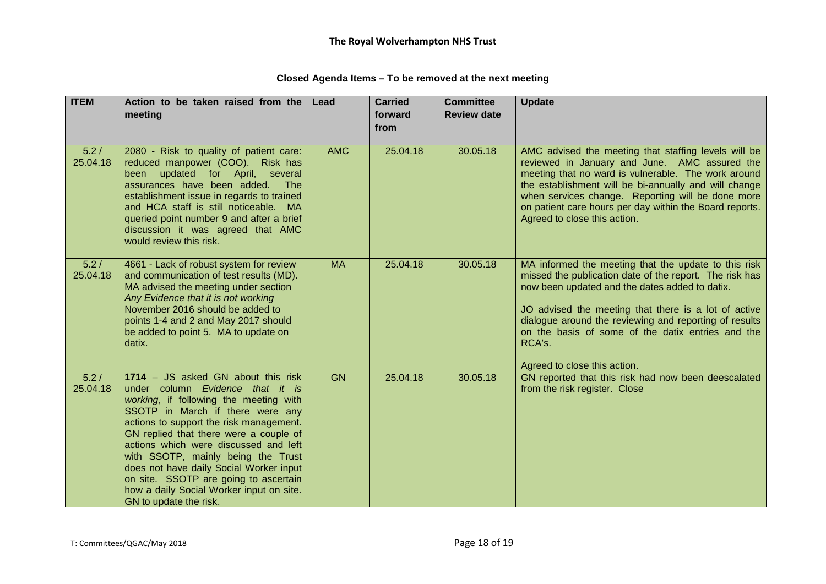| <b>ITEM</b>      | Action to be taken raised from the                                                                                                                                                                                                                                                                                                                                                                                                                                                 | Lead       | <b>Carried</b>  | <b>Committee</b>   | <b>Update</b>                                                                                                                                                                                                                                                                                                                                                                      |
|------------------|------------------------------------------------------------------------------------------------------------------------------------------------------------------------------------------------------------------------------------------------------------------------------------------------------------------------------------------------------------------------------------------------------------------------------------------------------------------------------------|------------|-----------------|--------------------|------------------------------------------------------------------------------------------------------------------------------------------------------------------------------------------------------------------------------------------------------------------------------------------------------------------------------------------------------------------------------------|
|                  | meeting                                                                                                                                                                                                                                                                                                                                                                                                                                                                            |            | forward<br>from | <b>Review date</b> |                                                                                                                                                                                                                                                                                                                                                                                    |
| 5.2/<br>25.04.18 | 2080 - Risk to quality of patient care:<br>reduced manpower (COO). Risk has<br>been updated for April, several<br>assurances have been added.<br>The<br>establishment issue in regards to trained<br>and HCA staff is still noticeable. MA<br>queried point number 9 and after a brief<br>discussion it was agreed that AMC<br>would review this risk.                                                                                                                             | <b>AMC</b> | 25.04.18        | 30.05.18           | AMC advised the meeting that staffing levels will be<br>reviewed in January and June. AMC assured the<br>meeting that no ward is vulnerable. The work around<br>the establishment will be bi-annually and will change<br>when services change. Reporting will be done more<br>on patient care hours per day within the Board reports.<br>Agreed to close this action.              |
| 5.2/<br>25.04.18 | 4661 - Lack of robust system for review<br>and communication of test results (MD).<br>MA advised the meeting under section<br>Any Evidence that it is not working<br>November 2016 should be added to<br>points 1-4 and 2 and May 2017 should<br>be added to point 5. MA to update on<br>datix.                                                                                                                                                                                    | <b>MA</b>  | 25.04.18        | 30.05.18           | MA informed the meeting that the update to this risk<br>missed the publication date of the report. The risk has<br>now been updated and the dates added to datix.<br>JO advised the meeting that there is a lot of active<br>dialogue around the reviewing and reporting of results<br>on the basis of some of the datix entries and the<br>RCA's.<br>Agreed to close this action. |
| 5.2/<br>25.04.18 | 1714 - JS asked GN about this risk<br>under column Evidence that it is<br>working, if following the meeting with<br>SSOTP in March if there were any<br>actions to support the risk management.<br>GN replied that there were a couple of<br>actions which were discussed and left<br>with SSOTP, mainly being the Trust<br>does not have daily Social Worker input<br>on site. SSOTP are going to ascertain<br>how a daily Social Worker input on site.<br>GN to update the risk. | <b>GN</b>  | 25.04.18        | 30.05.18           | GN reported that this risk had now been deescalated<br>from the risk register. Close                                                                                                                                                                                                                                                                                               |

# **Closed Agenda Items – To be removed at the next meeting**